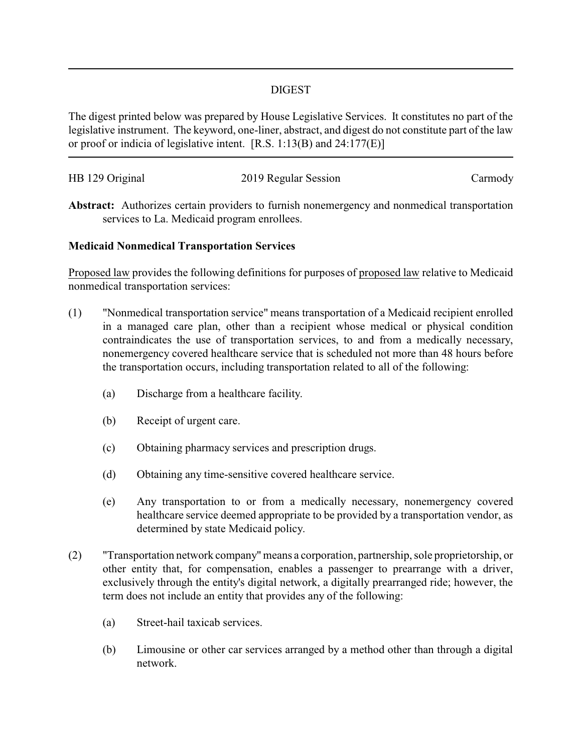## DIGEST

The digest printed below was prepared by House Legislative Services. It constitutes no part of the legislative instrument. The keyword, one-liner, abstract, and digest do not constitute part of the law or proof or indicia of legislative intent. [R.S. 1:13(B) and 24:177(E)]

| HB 129 Original | 2019 Regular Session | Carmody |
|-----------------|----------------------|---------|
|                 |                      |         |

**Abstract:** Authorizes certain providers to furnish nonemergency and nonmedical transportation services to La. Medicaid program enrollees.

## **Medicaid Nonmedical Transportation Services**

Proposed law provides the following definitions for purposes of proposed law relative to Medicaid nonmedical transportation services:

- (1) "Nonmedical transportation service" means transportation of a Medicaid recipient enrolled in a managed care plan, other than a recipient whose medical or physical condition contraindicates the use of transportation services, to and from a medically necessary, nonemergency covered healthcare service that is scheduled not more than 48 hours before the transportation occurs, including transportation related to all of the following:
	- (a) Discharge from a healthcare facility.
	- (b) Receipt of urgent care.
	- (c) Obtaining pharmacy services and prescription drugs.
	- (d) Obtaining any time-sensitive covered healthcare service.
	- (e) Any transportation to or from a medically necessary, nonemergency covered healthcare service deemed appropriate to be provided by a transportation vendor, as determined by state Medicaid policy.
- (2) "Transportation network company"means a corporation, partnership, sole proprietorship, or other entity that, for compensation, enables a passenger to prearrange with a driver, exclusively through the entity's digital network, a digitally prearranged ride; however, the term does not include an entity that provides any of the following:
	- (a) Street-hail taxicab services.
	- (b) Limousine or other car services arranged by a method other than through a digital network.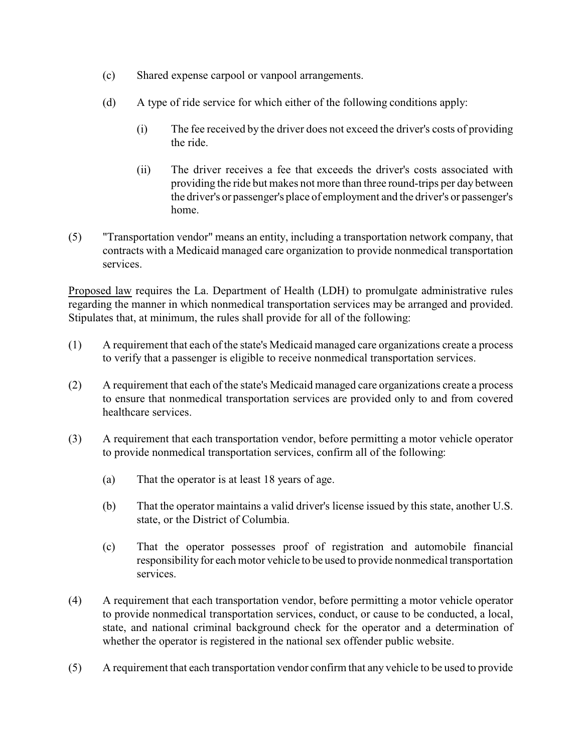- (c) Shared expense carpool or vanpool arrangements.
- (d) A type of ride service for which either of the following conditions apply:
	- (i) The fee received by the driver does not exceed the driver's costs of providing the ride.
	- (ii) The driver receives a fee that exceeds the driver's costs associated with providing the ride but makes not more than three round-trips per day between the driver's or passenger's place of employment and the driver's or passenger's home.
- (5) "Transportation vendor" means an entity, including a transportation network company, that contracts with a Medicaid managed care organization to provide nonmedical transportation services.

Proposed law requires the La. Department of Health (LDH) to promulgate administrative rules regarding the manner in which nonmedical transportation services may be arranged and provided. Stipulates that, at minimum, the rules shall provide for all of the following:

- (1) A requirement that each of the state's Medicaid managed care organizations create a process to verify that a passenger is eligible to receive nonmedical transportation services.
- (2) A requirement that each of the state's Medicaid managed care organizations create a process to ensure that nonmedical transportation services are provided only to and from covered healthcare services.
- (3) A requirement that each transportation vendor, before permitting a motor vehicle operator to provide nonmedical transportation services, confirm all of the following:
	- (a) That the operator is at least 18 years of age.
	- (b) That the operator maintains a valid driver's license issued by this state, another U.S. state, or the District of Columbia.
	- (c) That the operator possesses proof of registration and automobile financial responsibility for each motor vehicle to be used to provide nonmedical transportation services.
- (4) A requirement that each transportation vendor, before permitting a motor vehicle operator to provide nonmedical transportation services, conduct, or cause to be conducted, a local, state, and national criminal background check for the operator and a determination of whether the operator is registered in the national sex offender public website.
- (5) A requirement that each transportation vendor confirm that any vehicle to be used to provide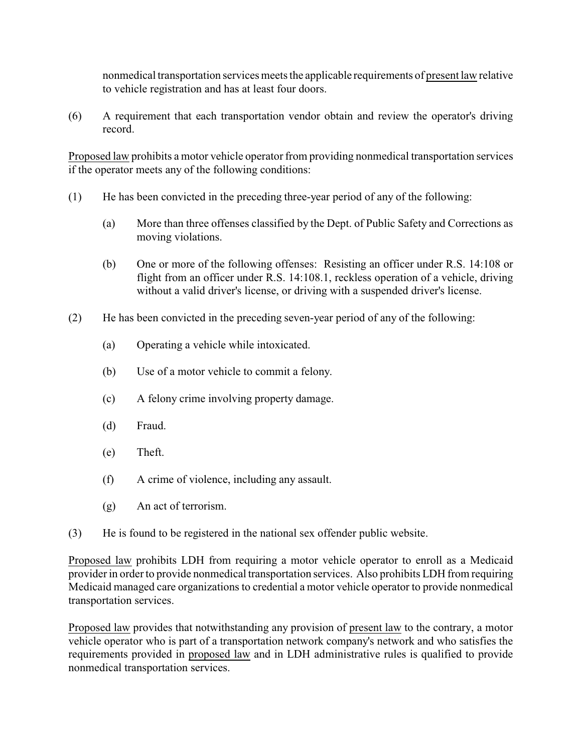nonmedical transportation services meets the applicable requirements of present law relative to vehicle registration and has at least four doors.

(6) A requirement that each transportation vendor obtain and review the operator's driving record.

Proposed law prohibits a motor vehicle operator from providing nonmedical transportation services if the operator meets any of the following conditions:

- (1) He has been convicted in the preceding three-year period of any of the following:
	- (a) More than three offenses classified by the Dept. of Public Safety and Corrections as moving violations.
	- (b) One or more of the following offenses: Resisting an officer under R.S. 14:108 or flight from an officer under R.S. 14:108.1, reckless operation of a vehicle, driving without a valid driver's license, or driving with a suspended driver's license.
- (2) He has been convicted in the preceding seven-year period of any of the following:
	- (a) Operating a vehicle while intoxicated.
	- (b) Use of a motor vehicle to commit a felony.
	- (c) A felony crime involving property damage.
	- (d) Fraud.
	- (e) Theft.
	- (f) A crime of violence, including any assault.
	- (g) An act of terrorism.
- (3) He is found to be registered in the national sex offender public website.

Proposed law prohibits LDH from requiring a motor vehicle operator to enroll as a Medicaid provider in order to provide nonmedical transportation services. Also prohibits LDH from requiring Medicaid managed care organizations to credential a motor vehicle operator to provide nonmedical transportation services.

Proposed law provides that notwithstanding any provision of present law to the contrary, a motor vehicle operator who is part of a transportation network company's network and who satisfies the requirements provided in proposed law and in LDH administrative rules is qualified to provide nonmedical transportation services.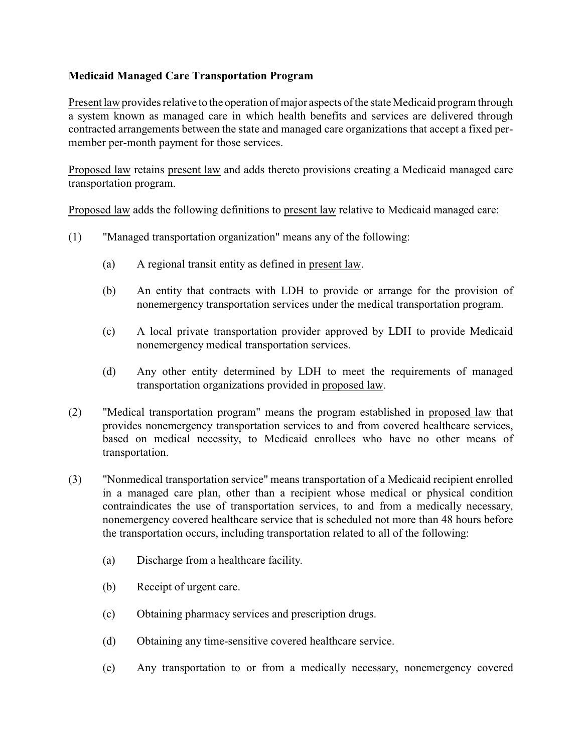## **Medicaid Managed Care Transportation Program**

Present law provides relative to the operation of major aspects of the state Medicaid program through a system known as managed care in which health benefits and services are delivered through contracted arrangements between the state and managed care organizations that accept a fixed permember per-month payment for those services.

Proposed law retains present law and adds thereto provisions creating a Medicaid managed care transportation program.

Proposed law adds the following definitions to present law relative to Medicaid managed care:

- (1) "Managed transportation organization" means any of the following:
	- (a) A regional transit entity as defined in present law.
	- (b) An entity that contracts with LDH to provide or arrange for the provision of nonemergency transportation services under the medical transportation program.
	- (c) A local private transportation provider approved by LDH to provide Medicaid nonemergency medical transportation services.
	- (d) Any other entity determined by LDH to meet the requirements of managed transportation organizations provided in proposed law.
- (2) "Medical transportation program" means the program established in proposed law that provides nonemergency transportation services to and from covered healthcare services, based on medical necessity, to Medicaid enrollees who have no other means of transportation.
- (3) "Nonmedical transportation service" means transportation of a Medicaid recipient enrolled in a managed care plan, other than a recipient whose medical or physical condition contraindicates the use of transportation services, to and from a medically necessary, nonemergency covered healthcare service that is scheduled not more than 48 hours before the transportation occurs, including transportation related to all of the following:
	- (a) Discharge from a healthcare facility.
	- (b) Receipt of urgent care.
	- (c) Obtaining pharmacy services and prescription drugs.
	- (d) Obtaining any time-sensitive covered healthcare service.
	- (e) Any transportation to or from a medically necessary, nonemergency covered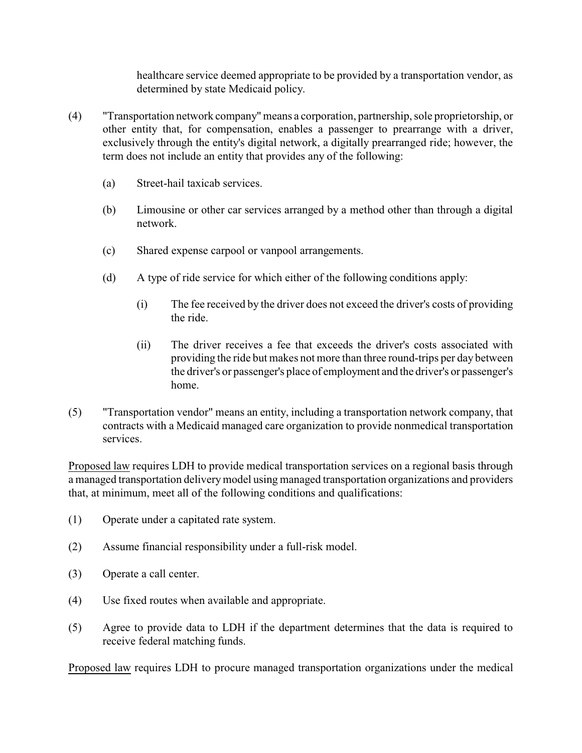healthcare service deemed appropriate to be provided by a transportation vendor, as determined by state Medicaid policy.

- (4) "Transportation network company"means a corporation, partnership, sole proprietorship, or other entity that, for compensation, enables a passenger to prearrange with a driver, exclusively through the entity's digital network, a digitally prearranged ride; however, the term does not include an entity that provides any of the following:
	- (a) Street-hail taxicab services.
	- (b) Limousine or other car services arranged by a method other than through a digital network.
	- (c) Shared expense carpool or vanpool arrangements.
	- (d) A type of ride service for which either of the following conditions apply:
		- (i) The fee received by the driver does not exceed the driver's costs of providing the ride.
		- (ii) The driver receives a fee that exceeds the driver's costs associated with providing the ride but makes not more than three round-trips per day between the driver's or passenger's place of employment and the driver's or passenger's home.
- (5) "Transportation vendor" means an entity, including a transportation network company, that contracts with a Medicaid managed care organization to provide nonmedical transportation services.

Proposed law requires LDH to provide medical transportation services on a regional basis through a managed transportation deliverymodel using managed transportation organizations and providers that, at minimum, meet all of the following conditions and qualifications:

- (1) Operate under a capitated rate system.
- (2) Assume financial responsibility under a full-risk model.
- (3) Operate a call center.
- (4) Use fixed routes when available and appropriate.
- (5) Agree to provide data to LDH if the department determines that the data is required to receive federal matching funds.

Proposed law requires LDH to procure managed transportation organizations under the medical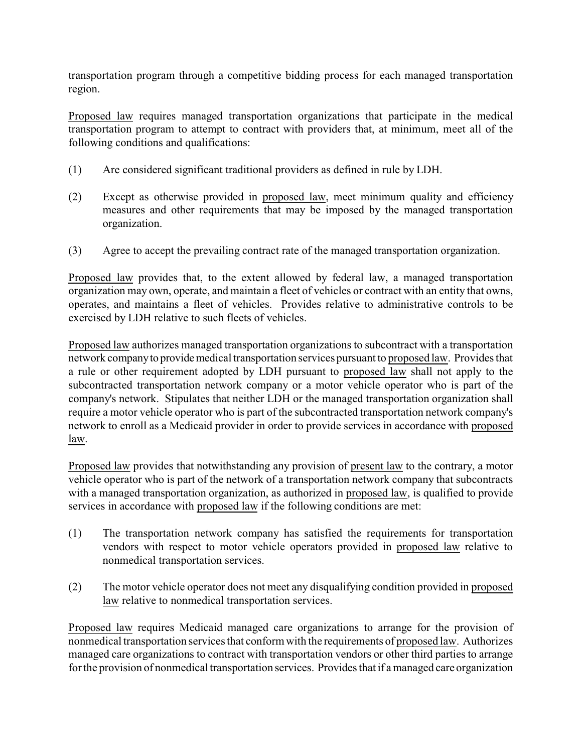transportation program through a competitive bidding process for each managed transportation region.

Proposed law requires managed transportation organizations that participate in the medical transportation program to attempt to contract with providers that, at minimum, meet all of the following conditions and qualifications:

- (1) Are considered significant traditional providers as defined in rule by LDH.
- (2) Except as otherwise provided in proposed law, meet minimum quality and efficiency measures and other requirements that may be imposed by the managed transportation organization.
- (3) Agree to accept the prevailing contract rate of the managed transportation organization.

Proposed law provides that, to the extent allowed by federal law, a managed transportation organization may own, operate, and maintain a fleet of vehicles or contract with an entity that owns, operates, and maintains a fleet of vehicles. Provides relative to administrative controls to be exercised by LDH relative to such fleets of vehicles.

Proposed law authorizes managed transportation organizations to subcontract with a transportation network companyto providemedical transportation services pursuant to proposed law. Provides that a rule or other requirement adopted by LDH pursuant to proposed law shall not apply to the subcontracted transportation network company or a motor vehicle operator who is part of the company's network. Stipulates that neither LDH or the managed transportation organization shall require a motor vehicle operator who is part of the subcontracted transportation network company's network to enroll as a Medicaid provider in order to provide services in accordance with proposed law.

Proposed law provides that notwithstanding any provision of present law to the contrary, a motor vehicle operator who is part of the network of a transportation network company that subcontracts with a managed transportation organization, as authorized in proposed law, is qualified to provide services in accordance with proposed law if the following conditions are met:

- (1) The transportation network company has satisfied the requirements for transportation vendors with respect to motor vehicle operators provided in proposed law relative to nonmedical transportation services.
- (2) The motor vehicle operator does not meet any disqualifying condition provided in proposed law relative to nonmedical transportation services.

Proposed law requires Medicaid managed care organizations to arrange for the provision of nonmedical transportation services that conform with the requirements of proposed law. Authorizes managed care organizations to contract with transportation vendors or other third parties to arrange for the provision of nonmedical transportation services. Provides that if a managed care organization